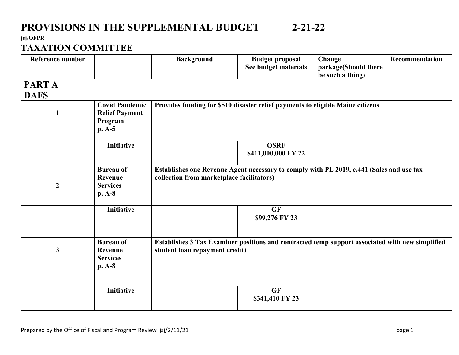#### **jsj/OFPR**

#### **TAXATION COMMITTEE**

| Reference number      |                                                                       | <b>Background</b>                                                                                                                     | <b>Budget proposal</b><br>See budget materials | Change<br>package(Should there<br>be such a thing) | Recommendation |
|-----------------------|-----------------------------------------------------------------------|---------------------------------------------------------------------------------------------------------------------------------------|------------------------------------------------|----------------------------------------------------|----------------|
| PART A<br><b>DAFS</b> |                                                                       |                                                                                                                                       |                                                |                                                    |                |
| 1                     | <b>Covid Pandemic</b><br><b>Relief Payment</b><br>Program<br>$p. A-5$ | Provides funding for \$510 disaster relief payments to eligible Maine citizens                                                        |                                                |                                                    |                |
|                       | <b>Initiative</b>                                                     |                                                                                                                                       | <b>OSRF</b><br>\$411,000,000 FY 22             |                                                    |                |
| $\boldsymbol{2}$      | <b>Bureau of</b><br>Revenue<br><b>Services</b><br>$p. A-8$            | Establishes one Revenue Agent necessary to comply with PL 2019, c.441 (Sales and use tax<br>collection from marketplace facilitators) |                                                |                                                    |                |
|                       | <b>Initiative</b>                                                     |                                                                                                                                       | <b>GF</b><br>\$99,276 FY 23                    |                                                    |                |
| $\mathbf{3}$          | <b>Bureau of</b><br>Revenue<br><b>Services</b><br>p. A-8              | Establishes 3 Tax Examiner positions and contracted temp support associated with new simplified<br>student loan repayment credit)     |                                                |                                                    |                |
|                       | <b>Initiative</b>                                                     |                                                                                                                                       | <b>GF</b><br>\$341,410 FY 23                   |                                                    |                |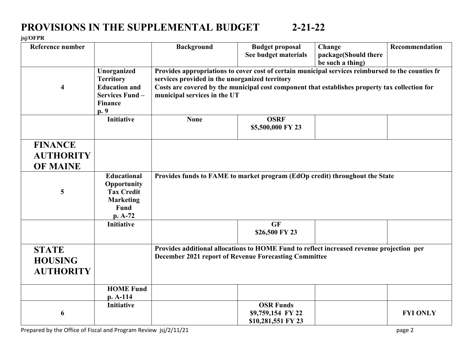#### **jsj/OFPR**

| <b>Reference number</b>                               |                                                                                                     | <b>Background</b>                                                                                                                                                                                                                                                                     | <b>Budget proposal</b><br>See budget materials              | Change<br>package(Should there<br>be such a thing) | Recommendation  |
|-------------------------------------------------------|-----------------------------------------------------------------------------------------------------|---------------------------------------------------------------------------------------------------------------------------------------------------------------------------------------------------------------------------------------------------------------------------------------|-------------------------------------------------------------|----------------------------------------------------|-----------------|
| $\overline{\mathbf{4}}$                               | Unorganized<br><b>Territory</b><br><b>Education and</b><br>Services Fund-<br><b>Finance</b><br>p. 9 | Provides appropriations to cover cost of certain municipal services reimbursed to the counties fr<br>services provided in the unorganized territory<br>Costs are covered by the municipal cost component that establishes property tax collection for<br>municipal services in the UT |                                                             |                                                    |                 |
|                                                       | <b>Initiative</b>                                                                                   | <b>None</b>                                                                                                                                                                                                                                                                           | <b>OSRF</b><br>\$5,500,000 FY 23                            |                                                    |                 |
| <b>FINANCE</b><br><b>AUTHORITY</b><br><b>OF MAINE</b> |                                                                                                     |                                                                                                                                                                                                                                                                                       |                                                             |                                                    |                 |
| 5                                                     | <b>Educational</b><br>Opportunity<br><b>Tax Credit</b><br><b>Marketing</b><br>Fund<br>p. A-72       | Provides funds to FAME to market program (EdOp credit) throughout the State                                                                                                                                                                                                           |                                                             |                                                    |                 |
|                                                       | <b>Initiative</b>                                                                                   |                                                                                                                                                                                                                                                                                       | GF<br>\$26,500 FY 23                                        |                                                    |                 |
| <b>STATE</b><br><b>HOUSING</b><br><b>AUTHORITY</b>    |                                                                                                     | Provides additional allocations to HOME Fund to reflect increased revenue projection per<br><b>December 2021 report of Revenue Forecasting Committee</b>                                                                                                                              |                                                             |                                                    |                 |
|                                                       | <b>HOME Fund</b><br>$p. A-114$                                                                      |                                                                                                                                                                                                                                                                                       |                                                             |                                                    |                 |
| 6                                                     | <b>Initiative</b>                                                                                   |                                                                                                                                                                                                                                                                                       | <b>OSR Funds</b><br>\$9,759,154 FY 22<br>\$10,281,551 FY 23 |                                                    | <b>FYI ONLY</b> |

Prepared by the Office of Fiscal and Program Review jsj/2/11/21 page 2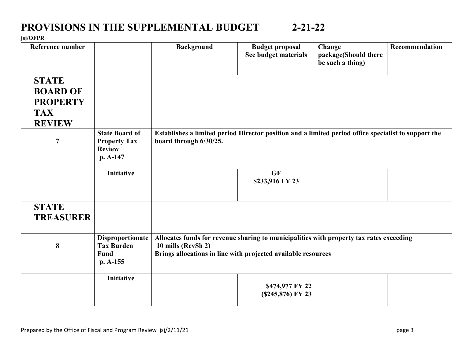#### **jsj/OFPR**

| Reference number                                                                                    |                                                                           | <b>Background</b>                                                                                                                                                              | <b>Budget proposal</b><br>See budget materials | Change<br>package(Should there<br>be such a thing) | Recommendation |
|-----------------------------------------------------------------------------------------------------|---------------------------------------------------------------------------|--------------------------------------------------------------------------------------------------------------------------------------------------------------------------------|------------------------------------------------|----------------------------------------------------|----------------|
| <b>STATE</b><br><b>BOARD OF</b><br><b>PROPERTY</b><br><b>TAX</b><br><b>REVIEW</b><br>$\overline{7}$ | <b>State Board of</b><br><b>Property Tax</b><br><b>Review</b><br>p. A-147 | Establishes a limited period Director position and a limited period office specialist to support the<br>board through 6/30/25.                                                 |                                                |                                                    |                |
|                                                                                                     | <b>Initiative</b>                                                         |                                                                                                                                                                                | <b>GF</b><br>\$233,916 FY 23                   |                                                    |                |
| <b>STATE</b><br><b>TREASURER</b>                                                                    |                                                                           |                                                                                                                                                                                |                                                |                                                    |                |
| 8                                                                                                   | <b>Disproportionate</b><br><b>Tax Burden</b><br><b>Fund</b><br>$p. A-155$ | Allocates funds for revenue sharing to municipalities with property tax rates exceeding<br>10 mills (RevSh 2)<br>Brings allocations in line with projected available resources |                                                |                                                    |                |
|                                                                                                     | <b>Initiative</b>                                                         |                                                                                                                                                                                | \$474,977 FY 22<br>(\$245,876) FY 23           |                                                    |                |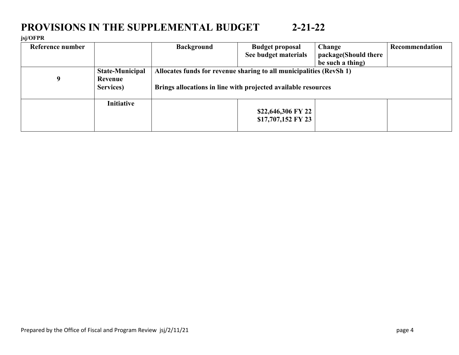#### **jsj/OFPR**

| Reference number |                        | <b>Background</b>                                                   | <b>Budget proposal</b> | Change               | Recommendation |  |
|------------------|------------------------|---------------------------------------------------------------------|------------------------|----------------------|----------------|--|
|                  |                        |                                                                     | See budget materials   | package(Should there |                |  |
|                  |                        |                                                                     |                        | be such a thing)     |                |  |
|                  | <b>State-Municipal</b> | Allocates funds for revenue sharing to all municipalities (RevSh 1) |                        |                      |                |  |
| 9                | Revenue                |                                                                     |                        |                      |                |  |
|                  | Services)              | Brings allocations in line with projected available resources       |                        |                      |                |  |
|                  |                        |                                                                     |                        |                      |                |  |
|                  | <b>Initiative</b>      |                                                                     |                        |                      |                |  |
|                  |                        |                                                                     | \$22,646,306 FY 22     |                      |                |  |
|                  |                        |                                                                     | \$17,707,152 FY 23     |                      |                |  |
|                  |                        |                                                                     |                        |                      |                |  |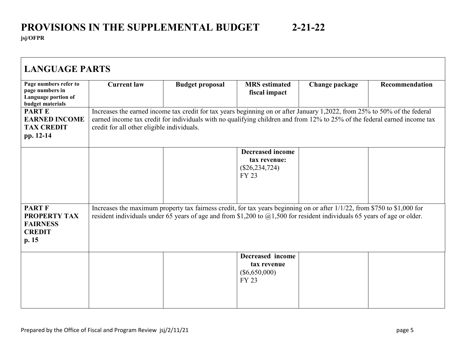| Page numbers refer to<br>page numbers in<br>Language portion of                            | <b>Current law</b>                                                                                                                                                                                                                                                                                   | <b>Budget proposal</b> | <b>MRS</b> estimated<br>fiscal impact                                  | Change package | Recommendation |  |  |
|--------------------------------------------------------------------------------------------|------------------------------------------------------------------------------------------------------------------------------------------------------------------------------------------------------------------------------------------------------------------------------------------------------|------------------------|------------------------------------------------------------------------|----------------|----------------|--|--|
| budget materials<br><b>PARTE</b><br><b>EARNED INCOME</b><br><b>TAX CREDIT</b><br>pp. 12-14 | Increases the earned income tax credit for tax years beginning on or after January 1,2022, from 25% to 50% of the federal<br>earned income tax credit for individuals with no qualifying children and from 12% to 25% of the federal earned income tax<br>credit for all other eligible individuals. |                        |                                                                        |                |                |  |  |
|                                                                                            |                                                                                                                                                                                                                                                                                                      |                        | <b>Decreased income</b><br>tax revenue:<br>$(\$26, 234, 724)$<br>FY 23 |                |                |  |  |
| <b>PART F</b><br><b>PROPERTY TAX</b><br><b>FAIRNESS</b><br><b>CREDIT</b><br>p.15           | Increases the maximum property tax fairness credit, for tax years beginning on or after 1/1/22, from \$750 to \$1,000 for<br>resident individuals under 65 years of age and from \$1,200 to $(a)1,500$ for resident individuals 65 years of age or older.                                            |                        |                                                                        |                |                |  |  |
|                                                                                            |                                                                                                                                                                                                                                                                                                      |                        | Decreased income<br>tax revenue<br>$(\$6,650,000)$<br><b>FY 23</b>     |                |                |  |  |